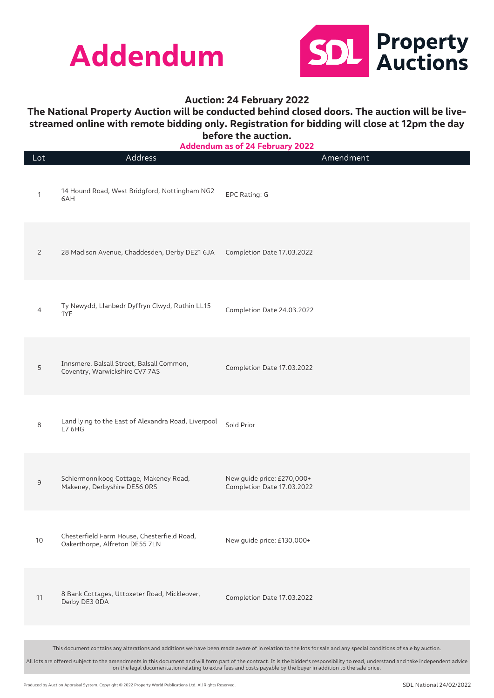



## **The National Property Auction will be conducted behind closed doors. The auction will be livestreamed online with remote bidding only. Registration for bidding will close at 12pm the day before the auction.**

| Lot                                                                                                                                                                                                                                                                                                      | Address                                                                       | Amendment                                                                                                                                                       |
|----------------------------------------------------------------------------------------------------------------------------------------------------------------------------------------------------------------------------------------------------------------------------------------------------------|-------------------------------------------------------------------------------|-----------------------------------------------------------------------------------------------------------------------------------------------------------------|
| 1                                                                                                                                                                                                                                                                                                        | 14 Hound Road, West Bridgford, Nottingham NG2<br>6AH                          | EPC Rating: G                                                                                                                                                   |
| 2                                                                                                                                                                                                                                                                                                        | 28 Madison Avenue, Chaddesden, Derby DE21 6JA                                 | Completion Date 17.03.2022                                                                                                                                      |
| 4                                                                                                                                                                                                                                                                                                        | Ty Newydd, Llanbedr Dyffryn Clwyd, Ruthin LL15<br>1YF                         | Completion Date 24.03.2022                                                                                                                                      |
| 5                                                                                                                                                                                                                                                                                                        | Innsmere, Balsall Street, Balsall Common,<br>Coventry, Warwickshire CV7 7AS   | Completion Date 17.03.2022                                                                                                                                      |
| 8                                                                                                                                                                                                                                                                                                        | Land lying to the East of Alexandra Road, Liverpool<br>L7 6HG                 | Sold Prior                                                                                                                                                      |
| 9                                                                                                                                                                                                                                                                                                        | Schiermonnikoog Cottage, Makeney Road,<br>Makeney, Derbyshire DE56 ORS        | New guide price: £270,000+<br>Completion Date 17.03.2022                                                                                                        |
| 10                                                                                                                                                                                                                                                                                                       | Chesterfield Farm House, Chesterfield Road,<br>Oakerthorpe, Alfreton DE55 7LN | New guide price: £130,000+                                                                                                                                      |
| 11                                                                                                                                                                                                                                                                                                       | 8 Bank Cottages, Uttoxeter Road, Mickleover,<br>Derby DE3 ODA                 | Completion Date 17.03.2022                                                                                                                                      |
|                                                                                                                                                                                                                                                                                                          |                                                                               |                                                                                                                                                                 |
|                                                                                                                                                                                                                                                                                                          |                                                                               | This document contains any alterations and additions we have been made aware of in relation to the lots for sale and any special conditions of sale by auction. |
| All lots are offered subject to the amendments in this document and will form part of the contract. It is the bidder's responsibility to read, understand and take independent advice<br>on the legal documentation relating to extra fees and costs payable by the buyer in addition to the sale price. |                                                                               |                                                                                                                                                                 |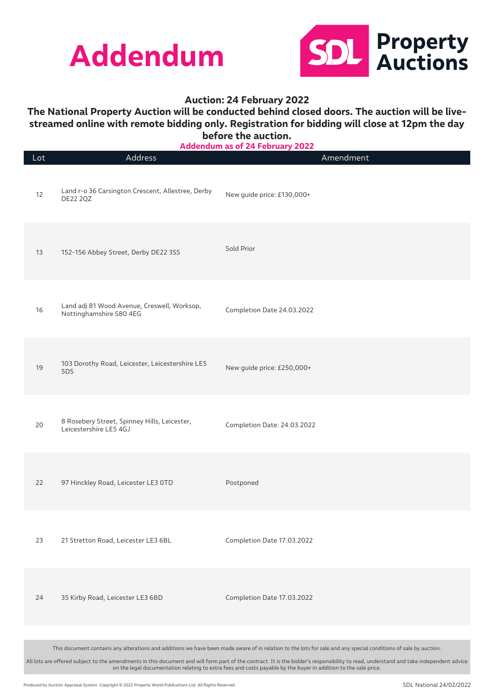



# **The National Property Auction will be conducted behind closed doors. The auction will be livestreamed online with remote bidding only. Registration for bidding will close at 12pm the day before the auction.**

| Lot | Address                                                                                                                                                                                                                                                                                                  | A                           | Amendment |
|-----|----------------------------------------------------------------------------------------------------------------------------------------------------------------------------------------------------------------------------------------------------------------------------------------------------------|-----------------------------|-----------|
| 12  | Land r-o 36 Carsington Crescent, Allestree, Derby<br><b>DE22 2QZ</b>                                                                                                                                                                                                                                     | New guide price: £130,000+  |           |
| 13  | 152-156 Abbey Street, Derby DE22 3SS                                                                                                                                                                                                                                                                     | Sold Prior                  |           |
| 16  | Land adj 81 Wood Avenue, Creswell, Worksop,<br>Nottinghamshire S80 4EG                                                                                                                                                                                                                                   | Completion Date 24.03.2022  |           |
| 19  | 103 Dorothy Road, Leicester, Leicestershire LE5<br>5DS                                                                                                                                                                                                                                                   | New guide price: £250,000+  |           |
| 20  | 8 Rosebery Street, Spinney Hills, Leicester,<br>Leicestershire LE5 4GJ                                                                                                                                                                                                                                   | Completion Date: 24.03.2022 |           |
| 22  | 97 Hinckley Road, Leicester LE3 OTD                                                                                                                                                                                                                                                                      | Postponed                   |           |
| 23  | 21 Stretton Road, Leicester LE3 6BL                                                                                                                                                                                                                                                                      | Completion Date 17.03.2022  |           |
| 24  | 35 Kirby Road, Leicester LE3 6BD                                                                                                                                                                                                                                                                         | Completion Date 17.03.2022  |           |
|     |                                                                                                                                                                                                                                                                                                          |                             |           |
|     | This document contains any alterations and additions we have been made aware of in relation to the lots for sale and any special conditions of sale by auction.                                                                                                                                          |                             |           |
|     | All lots are offered subject to the amendments in this document and will form part of the contract. It is the bidder's responsibility to read, understand and take independent advice<br>on the legal documentation relating to extra fees and costs payable by the buyer in addition to the sale price. |                             |           |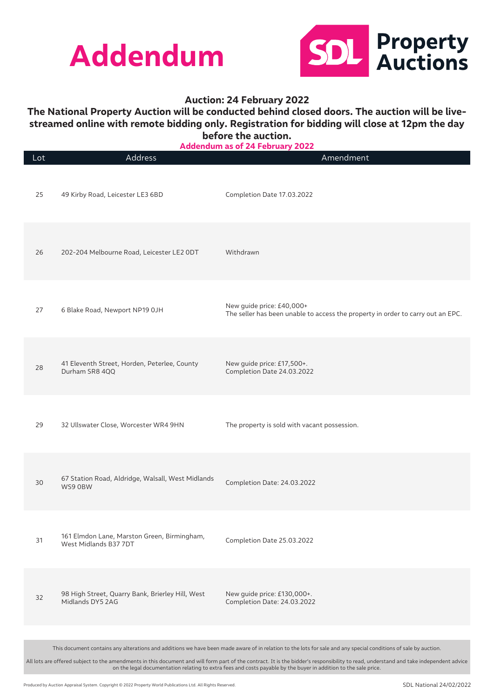



## **The National Property Auction will be conducted behind closed doors. The auction will be livestreamed online with remote bidding only. Registration for bidding will close at 12pm the day before the auction.**

Lot Address Amendment 25 49 Kirby Road, Leicester LE3 6BD Completion Date 17.03.2022 26 202-204 Melbourne Road, Leicester LE2 0DT Withdrawn 27 6 Blake Road, Newport NP19 0JH New guide price: £40,000+ The seller has been unable to access the property in order to carry out an EPC. 28 41 Eleventh Street, Horden, Peterlee, County Durham SR8 4QQ New guide price: £17,500+. Completion Date 24.03.2022 29 32 Ullswater Close, Worcester WR4 9HN The property is sold with vacant possession. <sup>30</sup> 67 Station Road, Aldridge, Walsall, West Midlands Completion Date: 24.03.2022 <sup>31</sup> 161 Elmdon Lane, Marston Green, Birmingham, TOT Eimdon Lane, Marston Green, Birmingham, Completion Date 25.03.2022<br>West Midlands B37 7DT <sup>32</sup> 98 High Street, Quarry Bank, Brierley Hill, West Midlands DY5 2AG New guide price: £130,000+. Completion Date: 24.03.2022 This document contains any alterations and additions we have been made aware of in relation to the lots for sale and any special conditions of sale by auction. **Addendum as of 24 February 2022**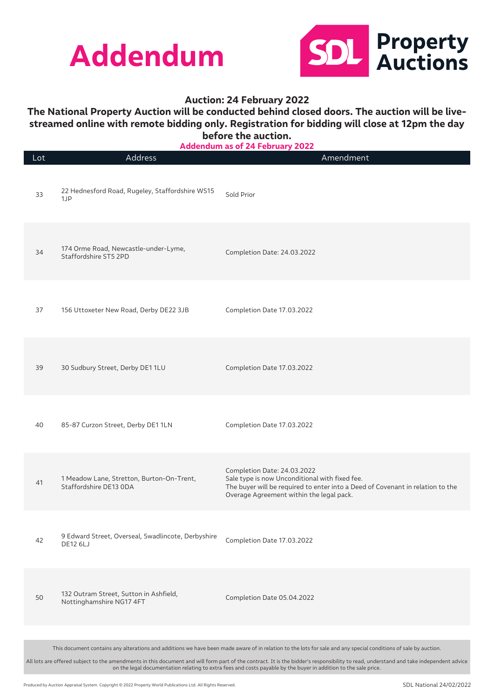



## **The National Property Auction will be conducted behind closed doors. The auction will be livestreamed online with remote bidding only. Registration for bidding will close at 12pm the day before the auction.**

| Lot | Address                                                               | Amendment                                                                                                                                                                                                                                                                                                |
|-----|-----------------------------------------------------------------------|----------------------------------------------------------------------------------------------------------------------------------------------------------------------------------------------------------------------------------------------------------------------------------------------------------|
| 33  | 22 Hednesford Road, Rugeley, Staffordshire WS15<br>1JP                | Sold Prior                                                                                                                                                                                                                                                                                               |
| 34  | 174 Orme Road, Newcastle-under-Lyme,<br>Staffordshire ST5 2PD         | Completion Date: 24.03.2022                                                                                                                                                                                                                                                                              |
| 37  | 156 Uttoxeter New Road, Derby DE22 3JB                                | Completion Date 17.03.2022                                                                                                                                                                                                                                                                               |
| 39  | 30 Sudbury Street, Derby DE1 1LU                                      | Completion Date 17.03.2022                                                                                                                                                                                                                                                                               |
| 40  | 85-87 Curzon Street, Derby DE1 1LN                                    | Completion Date 17.03.2022                                                                                                                                                                                                                                                                               |
| 41  | 1 Meadow Lane, Stretton, Burton-On-Trent,<br>Staffordshire DE13 ODA   | Completion Date: 24.03.2022<br>Sale type is now Unconditional with fixed fee.<br>The buyer will be required to enter into a Deed of Covenant in relation to the<br>Overage Agreement within the legal pack.                                                                                              |
| 42  | 9 Edward Street, Overseal, Swadlincote, Derbyshire<br><b>DE12 6LJ</b> | Completion Date 17.03.2022                                                                                                                                                                                                                                                                               |
| 50  | 132 Outram Street, Sutton in Ashfield,<br>Nottinghamshire NG17 4FT    | Completion Date 05.04.2022                                                                                                                                                                                                                                                                               |
|     |                                                                       |                                                                                                                                                                                                                                                                                                          |
|     |                                                                       | This document contains any alterations and additions we have been made aware of in relation to the lots for sale and any special conditions of sale by auction.                                                                                                                                          |
|     |                                                                       | All lots are offered subject to the amendments in this document and will form part of the contract. It is the bidder's responsibility to read, understand and take independent advice<br>on the legal documentation relating to extra fees and costs payable by the buyer in addition to the sale price. |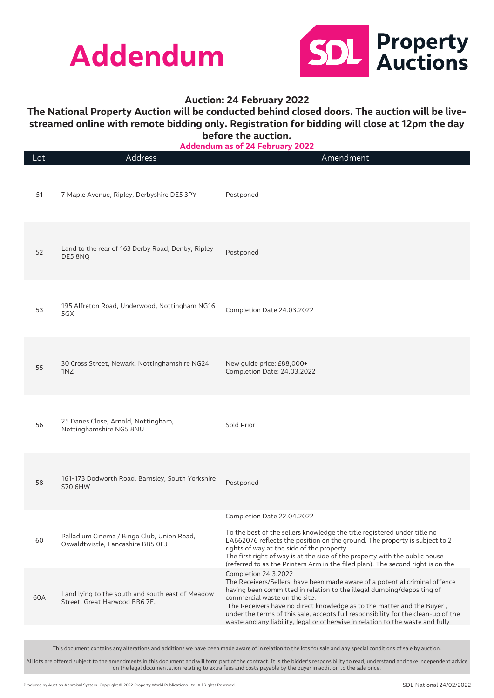



# **The National Property Auction will be conducted behind closed doors. The auction will be livestreamed online with remote bidding only. Registration for bidding will close at 12pm the day before the auction.**

**Addendum as of 24 February 2022**

| 51<br>7 Maple Avenue, Ripley, Derbyshire DE5 3PY<br>Postponed<br>Land to the rear of 163 Derby Road, Denby, Ripley<br>52<br>Postponed<br>DE5 8NQ<br>195 Alfreton Road, Underwood, Nottingham NG16<br>53<br>Completion Date 24.03.2022<br>5GX<br>30 Cross Street, Newark, Nottinghamshire NG24<br>New quide price: £88,000+<br>55<br>Completion Date: 24.03.2022<br>1NZ<br>25 Danes Close, Arnold, Nottingham,<br>Sold Prior<br>56<br>Nottinghamshire NG5 8NU<br>161-173 Dodworth Road, Barnsley, South Yorkshire<br>58<br>Postponed<br>S70 6HW<br>Completion Date 22.04.2022<br>To the best of the sellers knowledge the title registered under title no<br>Palladium Cinema / Bingo Club, Union Road,<br>60<br>LA662076 reflects the position on the ground. The property is subject to 2<br>Oswaldtwistle, Lancashire BB5 OEJ<br>rights of way at the side of the property<br>The first right of way is at the side of the property with the public house<br>(referred to as the Printers Arm in the filed plan). The second right is on the<br>Completion 24.3.2022<br>The Receivers/Sellers have been made aware of a potential criminal offence<br>having been committed in relation to the illegal dumping/depositing of<br>Land lying to the south and south east of Meadow<br>60A<br>commercial waste on the site.<br>Street, Great Harwood BB6 7EJ<br>The Receivers have no direct knowledge as to the matter and the Buyer,<br>under the terms of this sale, accepts full responsibility for the clean-up of the<br>waste and any liability, legal or otherwise in relation to the waste and fully | Lot | Address | Addendum as of 24 February 2022<br>Amendment |
|--------------------------------------------------------------------------------------------------------------------------------------------------------------------------------------------------------------------------------------------------------------------------------------------------------------------------------------------------------------------------------------------------------------------------------------------------------------------------------------------------------------------------------------------------------------------------------------------------------------------------------------------------------------------------------------------------------------------------------------------------------------------------------------------------------------------------------------------------------------------------------------------------------------------------------------------------------------------------------------------------------------------------------------------------------------------------------------------------------------------------------------------------------------------------------------------------------------------------------------------------------------------------------------------------------------------------------------------------------------------------------------------------------------------------------------------------------------------------------------------------------------------------------------------------------------------------------------------------------------|-----|---------|----------------------------------------------|
|                                                                                                                                                                                                                                                                                                                                                                                                                                                                                                                                                                                                                                                                                                                                                                                                                                                                                                                                                                                                                                                                                                                                                                                                                                                                                                                                                                                                                                                                                                                                                                                                              |     |         |                                              |
|                                                                                                                                                                                                                                                                                                                                                                                                                                                                                                                                                                                                                                                                                                                                                                                                                                                                                                                                                                                                                                                                                                                                                                                                                                                                                                                                                                                                                                                                                                                                                                                                              |     |         |                                              |
|                                                                                                                                                                                                                                                                                                                                                                                                                                                                                                                                                                                                                                                                                                                                                                                                                                                                                                                                                                                                                                                                                                                                                                                                                                                                                                                                                                                                                                                                                                                                                                                                              |     |         |                                              |
|                                                                                                                                                                                                                                                                                                                                                                                                                                                                                                                                                                                                                                                                                                                                                                                                                                                                                                                                                                                                                                                                                                                                                                                                                                                                                                                                                                                                                                                                                                                                                                                                              |     |         |                                              |
|                                                                                                                                                                                                                                                                                                                                                                                                                                                                                                                                                                                                                                                                                                                                                                                                                                                                                                                                                                                                                                                                                                                                                                                                                                                                                                                                                                                                                                                                                                                                                                                                              |     |         |                                              |
|                                                                                                                                                                                                                                                                                                                                                                                                                                                                                                                                                                                                                                                                                                                                                                                                                                                                                                                                                                                                                                                                                                                                                                                                                                                                                                                                                                                                                                                                                                                                                                                                              |     |         |                                              |
|                                                                                                                                                                                                                                                                                                                                                                                                                                                                                                                                                                                                                                                                                                                                                                                                                                                                                                                                                                                                                                                                                                                                                                                                                                                                                                                                                                                                                                                                                                                                                                                                              |     |         |                                              |
|                                                                                                                                                                                                                                                                                                                                                                                                                                                                                                                                                                                                                                                                                                                                                                                                                                                                                                                                                                                                                                                                                                                                                                                                                                                                                                                                                                                                                                                                                                                                                                                                              |     |         |                                              |

This document contains any alterations and additions we have been made aware of in relation to the lots for sale and any special conditions of sale by auction.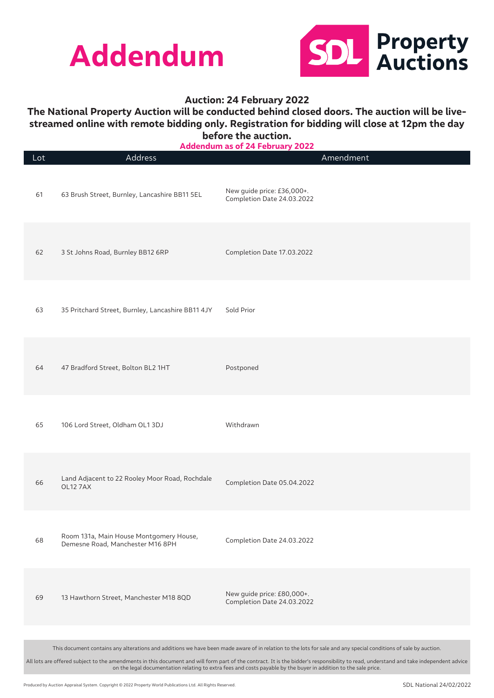



# **The National Property Auction will be conducted behind closed doors. The auction will be livestreamed online with remote bidding only. Registration for bidding will close at 12pm the day before the auction.**

**Addendum as of 24 February 2022**

| Lot | Address                                                                                                                                                                                                                                                                                                  | Amendment                                                                                                                                                       |  |
|-----|----------------------------------------------------------------------------------------------------------------------------------------------------------------------------------------------------------------------------------------------------------------------------------------------------------|-----------------------------------------------------------------------------------------------------------------------------------------------------------------|--|
| 61  | 63 Brush Street, Burnley, Lancashire BB11 5EL                                                                                                                                                                                                                                                            | New guide price: £36,000+.<br>Completion Date 24.03.2022                                                                                                        |  |
| 62  | 3 St Johns Road, Burnley BB12 6RP                                                                                                                                                                                                                                                                        | Completion Date 17.03.2022                                                                                                                                      |  |
| 63  | 35 Pritchard Street, Burnley, Lancashire BB11 4JY                                                                                                                                                                                                                                                        | Sold Prior                                                                                                                                                      |  |
| 64  | 47 Bradford Street, Bolton BL2 1HT                                                                                                                                                                                                                                                                       | Postponed                                                                                                                                                       |  |
| 65  | 106 Lord Street, Oldham OL1 3DJ                                                                                                                                                                                                                                                                          | Withdrawn                                                                                                                                                       |  |
| 66  | Land Adjacent to 22 Rooley Moor Road, Rochdale<br>OL12 7AX                                                                                                                                                                                                                                               | Completion Date 05.04.2022                                                                                                                                      |  |
| 68  | Room 131a, Main House Montgomery House,<br>Demesne Road, Manchester M16 8PH                                                                                                                                                                                                                              | Completion Date 24.03.2022                                                                                                                                      |  |
| 69  | 13 Hawthorn Street, Manchester M18 8QD                                                                                                                                                                                                                                                                   | New guide price: £80,000+.<br>Completion Date 24.03.2022                                                                                                        |  |
|     |                                                                                                                                                                                                                                                                                                          |                                                                                                                                                                 |  |
|     |                                                                                                                                                                                                                                                                                                          | This document contains any alterations and additions we have been made aware of in relation to the lots for sale and any special conditions of sale by auction. |  |
|     | All lots are offered subject to the amendments in this document and will form part of the contract. It is the bidder's responsibility to read, understand and take independent advice<br>on the legal documentation relating to extra fees and costs payable by the buyer in addition to the sale price. |                                                                                                                                                                 |  |

Produced by Auction Appraisal System. Copyright © 2022 Property World Publications Ltd. All Rights Reserved.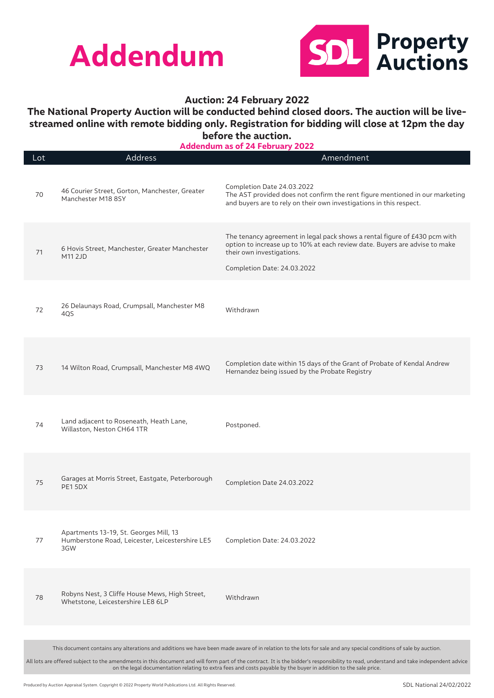



## **The National Property Auction will be conducted behind closed doors. The auction will be livestreamed online with remote bidding only. Registration for bidding will close at 12pm the day before the auction.**

| <b>Addendum as of 24 February 2022</b>                                                                                                                                                |                                                                                                  |                                                                                                                                                                                                                       |
|---------------------------------------------------------------------------------------------------------------------------------------------------------------------------------------|--------------------------------------------------------------------------------------------------|-----------------------------------------------------------------------------------------------------------------------------------------------------------------------------------------------------------------------|
| Lot                                                                                                                                                                                   | Address                                                                                          | Amendment                                                                                                                                                                                                             |
| 70                                                                                                                                                                                    | 46 Courier Street, Gorton, Manchester, Greater<br>Manchester M18 8SY                             | Completion Date 24.03.2022<br>The AST provided does not confirm the rent figure mentioned in our marketing<br>and buyers are to rely on their own investigations in this respect.                                     |
| 71                                                                                                                                                                                    | 6 Hovis Street, Manchester, Greater Manchester<br>M11 2JD                                        | The tenancy agreement in legal pack shows a rental figure of £430 pcm with<br>option to increase up to 10% at each review date. Buyers are advise to make<br>their own investigations.<br>Completion Date: 24.03.2022 |
| 72                                                                                                                                                                                    | 26 Delaunays Road, Crumpsall, Manchester M8<br>4QS                                               | Withdrawn                                                                                                                                                                                                             |
| 73                                                                                                                                                                                    | 14 Wilton Road, Crumpsall, Manchester M8 4WQ                                                     | Completion date within 15 days of the Grant of Probate of Kendal Andrew<br>Hernandez being issued by the Probate Registry                                                                                             |
| 74                                                                                                                                                                                    | Land adjacent to Roseneath, Heath Lane,<br>Willaston, Neston CH64 1TR                            | Postponed.                                                                                                                                                                                                            |
| 75                                                                                                                                                                                    | Garages at Morris Street, Eastgate, Peterborough<br>PE15DX                                       | Completion Date 24.03.2022                                                                                                                                                                                            |
| 77                                                                                                                                                                                    | Apartments 13-19, St. Georges Mill, 13<br>Humberstone Road, Leicester, Leicestershire LE5<br>3GW | Completion Date: 24.03.2022                                                                                                                                                                                           |
| 78                                                                                                                                                                                    | Robyns Nest, 3 Cliffe House Mews, High Street,<br>Whetstone, Leicestershire LE8 6LP              | Withdrawn                                                                                                                                                                                                             |
|                                                                                                                                                                                       |                                                                                                  |                                                                                                                                                                                                                       |
|                                                                                                                                                                                       |                                                                                                  | This document contains any alterations and additions we have been made aware of in relation to the lots for sale and any special conditions of sale by auction.                                                       |
| All lots are offered subject to the amendments in this document and will form part of the contract. It is the bidder's responsibility to read, understand and take independent advice |                                                                                                  |                                                                                                                                                                                                                       |

on the legal documentation relating to extra fees and costs payable by the buyer in addition to the sale price.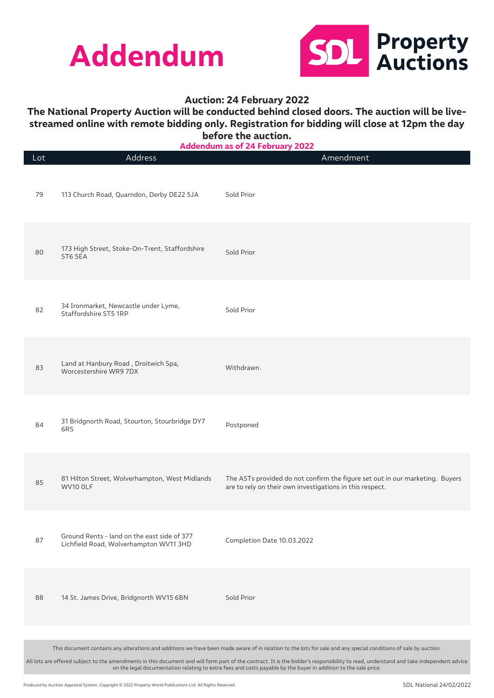



## **The National Property Auction will be conducted behind closed doors. The auction will be livestreamed online with remote bidding only. Registration for bidding will close at 12pm the day before the auction.**

**Addendum as of 24 February 2022**

| Lot | AMMEINMIII AJ VI<br>Address                                                           | <b>ATI CMI MAI</b><br><u>_ _ _ _</u><br>Amendment                                                                                                               |
|-----|---------------------------------------------------------------------------------------|-----------------------------------------------------------------------------------------------------------------------------------------------------------------|
| 79  | 113 Church Road, Quarndon, Derby DE22 5JA                                             | Sold Prior                                                                                                                                                      |
| 80  | 173 High Street, Stoke-On-Trent, Staffordshire<br>ST6 5EA                             | Sold Prior                                                                                                                                                      |
| 82  | 34 Ironmarket, Newcastle under Lyme,<br>Staffordshire ST5 1RP                         | Sold Prior                                                                                                                                                      |
| 83  | Land at Hanbury Road, Droitwich Spa,<br>Worcestershire WR9 7DX                        | Withdrawn.                                                                                                                                                      |
| 84  | 31 Bridgnorth Road, Stourton, Stourbridge DY7<br>6RS                                  | Postponed                                                                                                                                                       |
| 85  | 81 Hilton Street, Wolverhampton, West Midlands<br>WV10 OLF                            | The ASTs provided do not confirm the figure set out in our marketing. Buyers<br>are to rely on their own investigations in this respect.                        |
| 87  | Ground Rents - land on the east side of 377<br>Lichfield Road, Wolverhampton WV11 3HD | Completion Date 10.03.2022                                                                                                                                      |
| 88  | 14 St. James Drive, Bridgnorth WV15 6BN                                               | Sold Prior                                                                                                                                                      |
|     |                                                                                       | This document contains any alterations and additions we have been made aware of in relation to the lots for sale and any special conditions of sale by auction. |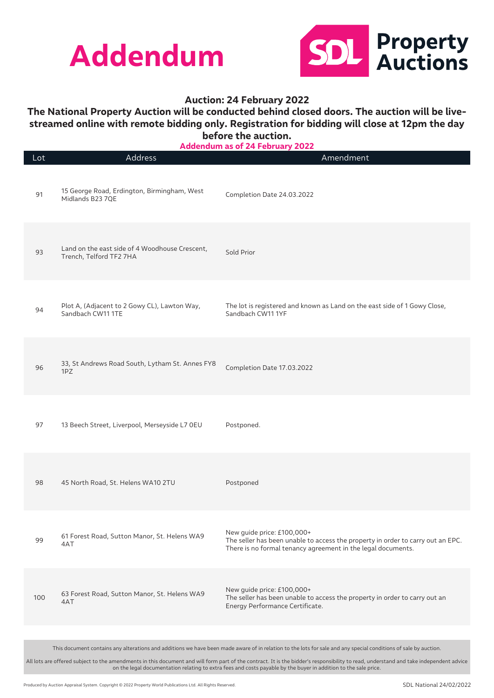



## **The National Property Auction will be conducted behind closed doors. The auction will be livestreamed online with remote bidding only. Registration for bidding will close at 12pm the day before the auction.**

**Addendum as of 24 February 2022**

| Lot | Address                                                                   | Addendam as 01 Z4 February 2022<br>Amendment                                                                                                                                  |
|-----|---------------------------------------------------------------------------|-------------------------------------------------------------------------------------------------------------------------------------------------------------------------------|
| 91  | 15 George Road, Erdington, Birmingham, West<br>Midlands B23 7QE           | Completion Date 24.03.2022                                                                                                                                                    |
| 93  | Land on the east side of 4 Woodhouse Crescent,<br>Trench, Telford TF2 7HA | Sold Prior                                                                                                                                                                    |
| 94  | Plot A, (Adjacent to 2 Gowy CL), Lawton Way,<br>Sandbach CW11 1TE         | The lot is registered and known as Land on the east side of 1 Gowy Close,<br>Sandbach CW11 1YF                                                                                |
| 96  | 33, St Andrews Road South, Lytham St. Annes FY8<br>1PZ                    | Completion Date 17.03.2022                                                                                                                                                    |
| 97  | 13 Beech Street, Liverpool, Merseyside L7 0EU                             | Postponed.                                                                                                                                                                    |
| 98  | 45 North Road, St. Helens WA10 2TU                                        | Postponed                                                                                                                                                                     |
| 99  | 61 Forest Road, Sutton Manor, St. Helens WA9<br>4AT                       | New guide price: £100,000+<br>The seller has been unable to access the property in order to carry out an EPC.<br>There is no formal tenancy agreement in the legal documents. |
| 100 | 63 Forest Road, Sutton Manor, St. Helens WA9<br>4AT                       | New guide price: £100,000+<br>The seller has been unable to access the property in order to carry out an<br>Energy Performance Certificate.                                   |
|     |                                                                           | This document contains any alterations and additions we have been made aware of in relation to the lots for sale and any special conditions of sale by auction.               |
|     |                                                                           |                                                                                                                                                                               |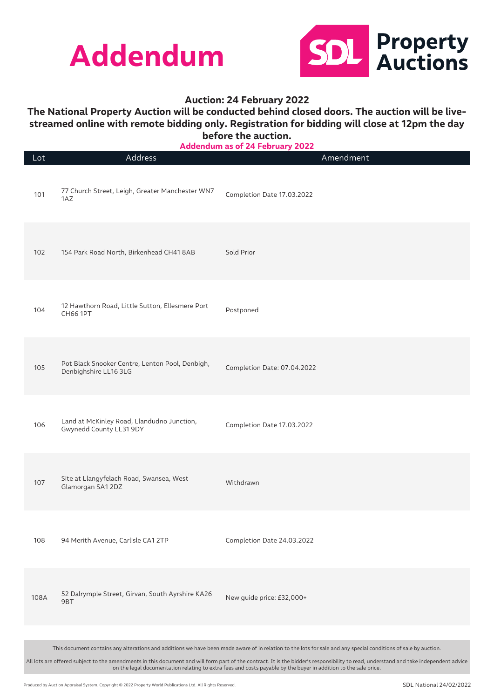



## **The National Property Auction will be conducted behind closed doors. The auction will be livestreamed online with remote bidding only. Registration for bidding will close at 12pm the day before the auction.**

| Lot  | Address                                                                                                                                                                                                                                                                                                  | <b>AUUCHUUHI AS VI 47 I CNIUAI</b><br>LVLL | Amendment |
|------|----------------------------------------------------------------------------------------------------------------------------------------------------------------------------------------------------------------------------------------------------------------------------------------------------------|--------------------------------------------|-----------|
| 101  | 77 Church Street, Leigh, Greater Manchester WN7<br>1AZ                                                                                                                                                                                                                                                   | Completion Date 17.03.2022                 |           |
| 102  | 154 Park Road North, Birkenhead CH41 8AB                                                                                                                                                                                                                                                                 | Sold Prior                                 |           |
| 104  | 12 Hawthorn Road, Little Sutton, Ellesmere Port<br><b>CH66 1PT</b>                                                                                                                                                                                                                                       | Postponed                                  |           |
| 105  | Pot Black Snooker Centre, Lenton Pool, Denbigh,<br>Denbighshire LL16 3LG                                                                                                                                                                                                                                 | Completion Date: 07.04.2022                |           |
| 106  | Land at McKinley Road, Llandudno Junction,<br>Gwynedd County LL31 9DY                                                                                                                                                                                                                                    | Completion Date 17.03.2022                 |           |
| 107  | Site at Llangyfelach Road, Swansea, West<br>Glamorgan SA1 2DZ                                                                                                                                                                                                                                            | Withdrawn                                  |           |
| 108  | 94 Merith Avenue, Carlisle CA1 2TP                                                                                                                                                                                                                                                                       | Completion Date 24.03.2022                 |           |
| 108A | 52 Dalrymple Street, Girvan, South Ayrshire KA26<br>9BT                                                                                                                                                                                                                                                  | New guide price: £32,000+                  |           |
|      |                                                                                                                                                                                                                                                                                                          |                                            |           |
|      | This document contains any alterations and additions we have been made aware of in relation to the lots for sale and any special conditions of sale by auction.                                                                                                                                          |                                            |           |
|      | All lots are offered subject to the amendments in this document and will form part of the contract. It is the bidder's responsibility to read, understand and take independent advice<br>on the legal documentation relating to extra fees and costs payable by the buyer in addition to the sale price. |                                            |           |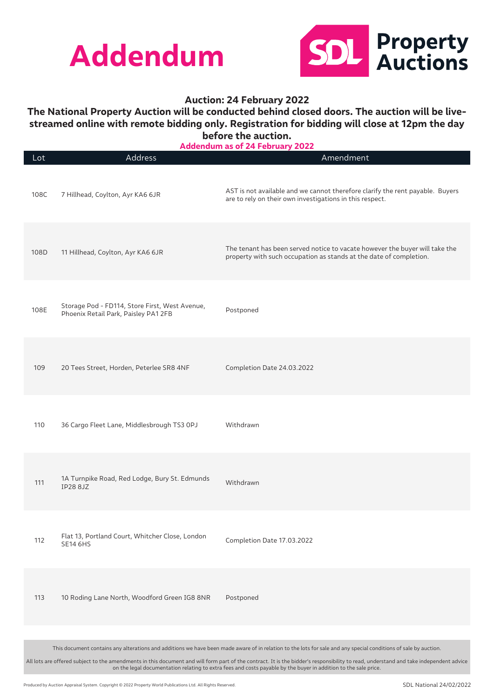



## **The National Property Auction will be conducted behind closed doors. The auction will be livestreamed online with remote bidding only. Registration for bidding will close at 12pm the day before the auction.**

Lot Address Amendment 108C 7 Hillhead, Coylton, Ayr KA6 6JR AST is not available and we cannot therefore clarify the rent payable. Buyers are to rely on their own investigations in this respect. 108D 11 Hillhead, Coylton, Ayr KA6 6JR The tenant has been served notice to vacate however the buyer will take the property with such occupation as stands at the date of completion. 108E Storage Pod - FD114, Store First, West Avenue, Phoenix Retail Park, Paisley PA1 2FB Postponed 109 20 Tees Street, Horden, Peterlee SR8 4NF Completion Date 24.03.2022 110 36 Cargo Fleet Lane, Middlesbrough TS3 0PJ Withdrawn <sup>111</sup> 1A Turnpike Road, Red Lodge, Bury St. Edmunds IP28 8JZ Withdrawn <sup>112</sup> Flat 13, Portland Court, Whitcher Close, London Completion Date 17.03.2022 113 10 Roding Lane North, Woodford Green IG8 8NR Postponed This document contains any alterations and additions we have been made aware of in relation to the lots for sale and any special conditions of sale by auction. **Addendum as of 24 February 2022**